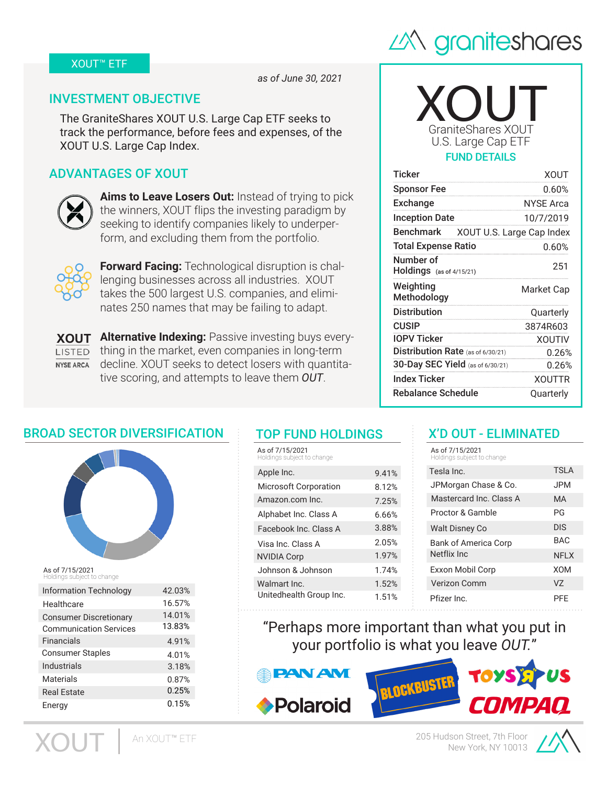### XOUT™ ETF



*as of June 30, 2021*

## INVESTMENT OBJECTIVE

The GraniteShares XOUT U.S. Large Cap ETF seeks to track the performance, before fees and expenses, of the XOUT U.S. Large Cap Index.

# ADVANTAGES OF XOUT



**Aims to Leave Losers Out:** Instead of trying to pick the winners, XOUT flips the investing paradigm by seeking to identify companies likely to underperform, and excluding them from the portfolio.



**Forward Facing:** Technological disruption is challenging businesses across all industries. XOUT takes the 500 largest U.S. companies, and eliminates 250 names that may be failing to adapt.

**Alternative Indexing:** Passive investing buys every-**XOUT**  $\overline{L}$  thing in the market, even companies in long-term NYSE ARCA decline. XOUT seeks to detect losers with quantitative scoring, and attempts to leave them *OUT*.

# GraniteShares XOUT XOUT U.S. Large Cap ETF FUND DETAILS

| <b>Ticker</b>                         | XOUT                      |
|---------------------------------------|---------------------------|
| <b>Sponsor Fee</b>                    | $0.60\%$                  |
| <b>Exchange</b>                       | <b>NYSE Arca</b>          |
| <b>Inception Date</b>                 | 10/7/2019                 |
| <b>Benchmark</b>                      | XOUT U.S. Large Cap Index |
| <b>Total Expense Ratio</b>            | 0.60%                     |
| Number of<br>Holdings (as of 4/15/21) | 251                       |
|                                       |                           |
| Weighting<br>Methodology              | Market Cap                |
| <b>Distribution</b>                   | Quarterly                 |
| <b>CUSIP</b>                          | 3874R603                  |
| IOPV Ticker                           | <b>XOUTIV</b>             |
| Distribution Rate (as of 6/30/21)     | 0.26%                     |
| 30-Day SEC Yield (as of 6/30/21)      | 0.26%                     |
| Index Ticker                          | <b>XOUTTR</b>             |

### BROAD SECTOR DIVERSIFICATION



As of 7/15/2021 **ve :**<br>ect to change

| Information Technology        | 42.03% |
|-------------------------------|--------|
| Healthcare                    | 16.57% |
| <b>Consumer Discretionary</b> | 14.01% |
| <b>Communication Services</b> | 13.83% |
| Financials                    | 4.91%  |
| <b>Consumer Staples</b>       | 4.01%  |
| Industrials                   | 3.18%  |
| Materials                     | 0.87%  |
| <b>Real Estate</b>            | 0.25%  |
| Energy                        | 0.15%  |
|                               |        |

An XOUT™ ETF

# TOP FUND HOLDINGS

| As of 7/15/2021<br>Holdings subject to change |       |
|-----------------------------------------------|-------|
| Apple Inc.                                    | 9.41% |
| <b>Microsoft Corporation</b>                  | 8.12% |
| Amazon.com Inc.                               | 7.25% |
| Alphabet Inc. Class A                         | 6.66% |
| Facebook Inc. Class A                         | 3.88% |
| Visa Inc. Class A                             | 2.05% |
| <b>NVIDIA Corp</b>                            | 1.97% |
| Johnson & Johnson                             | 1.74% |
| Walmart Inc.                                  | 1.52% |
| Unitedhealth Group Inc.                       | 1.51% |

### X'D OUT - ELIMINATED

| As of 7/15/2021<br>Holdings subject to change |             |
|-----------------------------------------------|-------------|
| Tesla Inc.                                    | TSI A       |
| JPMorgan Chase & Co.                          | JPM         |
| Mastercard Inc. Class A                       | MA          |
| Proctor & Gamble                              | ΡG          |
| <b>Walt Disney Co</b>                         | <b>DIS</b>  |
| <b>Bank of America Corp</b>                   | BAC.        |
| Netflix Inc.                                  | <b>NFLX</b> |
| Exxon Mobil Corp                              | <b>XOM</b>  |
| Verizon Comm                                  | V7          |
| Pfizer Inc.                                   | PFF         |

"Perhaps more important than what you put in your portfolio is what you leave *OUT.*"